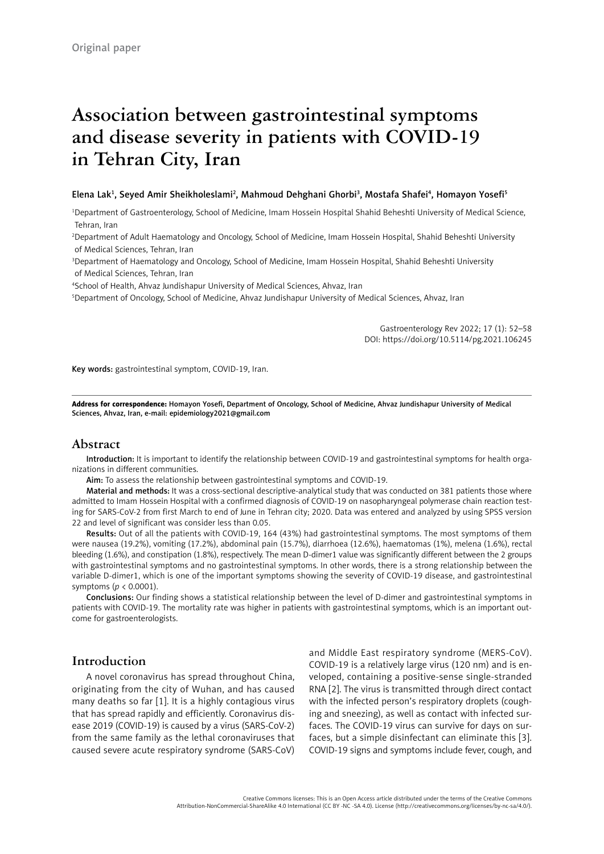# **Association between gastrointestinal symptoms and disease severity in patients with COVID-19 in Tehran City, Iran**

#### Elena Lak<sup>1</sup>, Seyed Amir Sheikholeslami<sup>2</sup>, Mahmoud Dehghani Ghorbi<sup>3</sup>, Mostafa Shafei<sup>4</sup>, Homayon Yosefi<sup>5</sup>

1 Department of Gastroenterology, School of Medicine, Imam Hossein Hospital Shahid Beheshti University of Medical Science, Tehran, Iran

2 Department of Adult Haematology and Oncology, School of Medicine, Imam Hossein Hospital, Shahid Beheshti University of Medical Sciences, Tehran, Iran

3 Department of Haematology and Oncology, School of Medicine, Imam Hossein Hospital, Shahid Beheshti University of Medical Sciences, Tehran, Iran

4 School of Health, Ahvaz Jundishapur University of Medical Sciences, Ahvaz, Iran

5 Department of Oncology, School of Medicine, Ahvaz Jundishapur University of Medical Sciences, Ahvaz, Iran

Gastroenterology Rev 2022; 17 (1): 52–58 DOI: https://doi.org/10.5114/pg.2021.106245

Key words: gastrointestinal symptom, COVID-19, Iran.

Address for correspondence: Homayon Yosefi, Department of Oncology, School of Medicine, Ahvaz Jundishapur University of Medical Sciences, Ahvaz, Iran, e-mail: [epidemiology2021@gmail.com](mailto:epidemiology2021@gmail.com)

### **Abstract**

Introduction: It is important to identify the relationship between COVID-19 and gastrointestinal symptoms for health organizations in different communities.

Aim: To assess the relationship between gastrointestinal symptoms and COVID-19.

Material and methods: It was a cross-sectional descriptive-analytical study that was conducted on 381 patients those where admitted to Imam Hossein Hospital with a confirmed diagnosis of COVID-19 on nasopharyngeal polymerase chain reaction testing for SARS-CoV-2 from first March to end of June in Tehran city; 2020. Data was entered and analyzed by using SPSS version 22 and level of significant was consider less than 0.05.

Results: Out of all the patients with COVID-19, 164 (43%) had gastrointestinal symptoms. The most symptoms of them were nausea (19.2%), vomiting (17.2%), abdominal pain (15.7%), diarrhoea (12.6%), haematomas (1%), melena (1.6%), rectal bleeding (1.6%), and constipation (1.8%), respectively. The mean D-dimer1 value was significantly different between the 2 groups with gastrointestinal symptoms and no gastrointestinal symptoms. In other words, there is a strong relationship between the variable D-dimer1, which is one of the important symptoms showing the severity of COVID-19 disease, and gastrointestinal symptoms (*p* < 0.0001).

Conclusions: Our finding shows a statistical relationship between the level of D-dimer and gastrointestinal symptoms in patients with COVID-19. The mortality rate was higher in patients with gastrointestinal symptoms, which is an important outcome for gastroenterologists.

## **Introduction**

A novel coronavirus has spread throughout China, originating from the city of Wuhan, and has caused many deaths so far [1]. It is a highly contagious virus that has spread rapidly and efficiently. Coronavirus disease 2019 (COVID-19) is caused by a virus (SARS-CoV-2) from the same family as the lethal coronaviruses that caused severe acute respiratory syndrome (SARS-CoV)

and Middle East respiratory syndrome (MERS-CoV). COVID-19 is a relatively large virus (120 nm) and is enveloped, containing a positive-sense single-stranded RNA [2]. The virus is transmitted through direct contact with the infected person's respiratory droplets (coughing and sneezing), as well as contact with infected surfaces. The COVID-19 virus can survive for days on surfaces, but a simple disinfectant can eliminate this [3]. COVID-19 signs and symptoms include fever, cough, and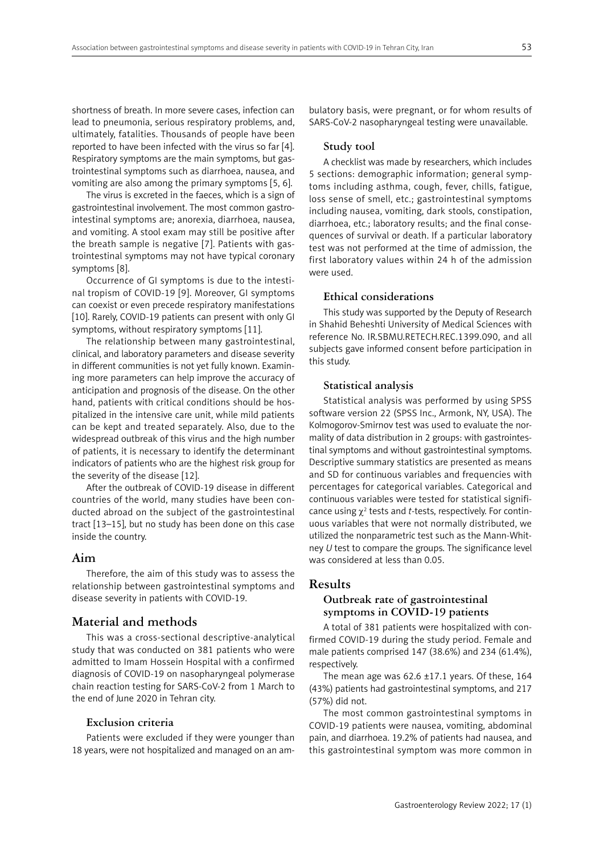shortness of breath. In more severe cases, infection can lead to pneumonia, serious respiratory problems, and, ultimately, fatalities. Thousands of people have been reported to have been infected with the virus so far [4]. Respiratory symptoms are the main symptoms, but gastrointestinal symptoms such as diarrhoea, nausea, and vomiting are also among the primary symptoms [5, 6].

The virus is excreted in the faeces, which is a sign of gastrointestinal involvement. The most common gastrointestinal symptoms are; anorexia, diarrhoea, nausea, and vomiting. A stool exam may still be positive after the breath sample is negative [7]. Patients with gastrointestinal symptoms may not have typical coronary symptoms [8].

Occurrence of GI symptoms is due to the intestinal tropism of COVID-19 [9]. Moreover, GI symptoms can coexist or even precede respiratory manifestations [10]. Rarely, COVID-19 patients can present with only GI symptoms, without respiratory symptoms [11].

The relationship between many gastrointestinal, clinical, and laboratory parameters and disease severity in different communities is not yet fully known. Examining more parameters can help improve the accuracy of anticipation and prognosis of the disease. On the other hand, patients with critical conditions should be hospitalized in the intensive care unit, while mild patients can be kept and treated separately. Also, due to the widespread outbreak of this virus and the high number of patients, it is necessary to identify the determinant indicators of patients who are the highest risk group for the severity of the disease [12].

After the outbreak of COVID-19 disease in different countries of the world, many studies have been conducted abroad on the subject of the gastrointestinal tract [13–15], but no study has been done on this case inside the country.

#### **Aim**

Therefore, the aim of this study was to assess the relationship between gastrointestinal symptoms and disease severity in patients with COVID-19.

## **Material and methods**

This was a cross-sectional descriptive-analytical study that was conducted on 381 patients who were admitted to Imam Hossein Hospital with a confirmed diagnosis of COVID-19 on nasopharyngeal polymerase chain reaction testing for SARS-CoV-2 from 1 March to the end of June 2020 in Tehran city.

#### **Exclusion criteria**

Patients were excluded if they were younger than 18 years, were not hospitalized and managed on an am-

bulatory basis, were pregnant, or for whom results of SARS-CoV-2 nasopharyngeal testing were unavailable.

#### **Study tool**

A checklist was made by researchers, which includes 5 sections: demographic information; general symptoms including asthma, cough, fever, chills, fatigue, loss sense of smell, etc.; gastrointestinal symptoms including nausea, vomiting, dark stools, constipation, diarrhoea, etc.; laboratory results; and the final consequences of survival or death. If a particular laboratory test was not performed at the time of admission, the first laboratory values within 24 h of the admission were used.

#### **Ethical considerations**

This study was supported by the Deputy of Research in Shahid Beheshti University of Medical Sciences with reference No. IR.SBMU.RETECH.REC.1399.090, and all subjects gave informed consent before participation in this study.

#### **Statistical analysis**

Statistical analysis was performed by using SPSS software version 22 (SPSS Inc., Armonk, NY, USA). The Kolmogorov-Smirnov test was used to evaluate the normality of data distribution in 2 groups: with gastrointestinal symptoms and without gastrointestinal symptoms. Descriptive summary statistics are presented as means and SD for continuous variables and frequencies with percentages for categorical variables. Categorical and continuous variables were tested for statistical significance using  $\chi^2$  tests and *t*-tests, respectively. For continuous variables that were not normally distributed, we utilized the nonparametric test such as the Mann-Whitney *U* test to compare the groups. The significance level was considered at less than 0.05.

## **Results**

#### **Outbreak rate of gastrointestinal symptoms in COVID-19 patients**

A total of 381 patients were hospitalized with confirmed COVID-19 during the study period. Female and male patients comprised 147 (38.6%) and 234 (61.4%), respectively.

The mean age was  $62.6 \pm 17.1$  years. Of these, 164 (43%) patients had gastrointestinal symptoms, and 217 (57%) did not.

The most common gastrointestinal symptoms in COVID-19 patients were nausea, vomiting, abdominal pain, and diarrhoea. 19.2% of patients had nausea, and this gastrointestinal symptom was more common in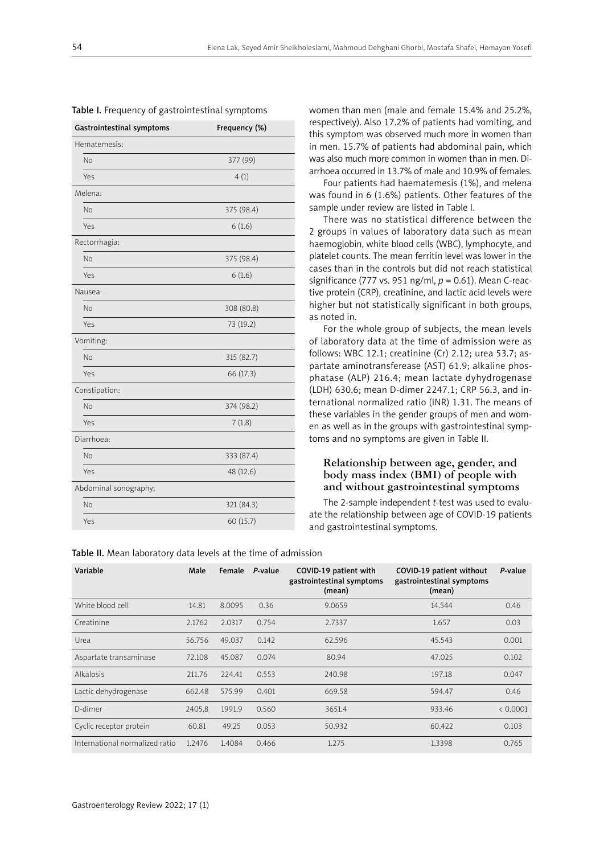| Gastrointestinal symptoms | Frequency (%) |
|---------------------------|---------------|
| Hematemesis:              |               |
| <b>No</b>                 | 377 (99)      |
| Yes                       | 4(1)          |
| Melena:                   |               |
| <b>No</b>                 | 375 (98.4)    |
| Yes                       | 6(1.6)        |
| Rectorrhagia:             |               |
| <b>No</b>                 | 375 (98.4)    |
| Yes                       | 6(1.6)        |
| Nausea:                   |               |
| <b>No</b>                 | 308 (80.8)    |
| Yes                       | 73 (19.2)     |
| Vomiting:                 |               |
| <b>No</b>                 | 315 (82.7)    |
| Yes                       | 66 (17.3)     |
| Constipation:             |               |
| <b>No</b>                 | 374 (98.2)    |
| Yes                       | 7(1.8)        |
| Diarrhoea:                |               |
| <b>No</b>                 | 333 (87.4)    |
| Yes                       | 48 (12.6)     |
| Abdominal sonography:     |               |
| <b>No</b>                 | 321 (84.3)    |
| Yes                       | 60 (15.7)     |

| Table I. Frequency of gastrointestinal symptoms |  |  |
|-------------------------------------------------|--|--|
|-------------------------------------------------|--|--|

women than men (male and female 15.4% and 25.2%, respectively). Also 17.2% of patients had vomiting, and this symptom was observed much more in women than in men. 15.7% of patients had abdominal pain, which was also much more common in women than in men. Diarrhoea occurred in 13.7% of male and 10.9% of females.

Four patients had haematemesis (1%), and melena was found in 6 (1.6%) patients. Other features of the sample under review are listed in Table I.

There was no statistical difference between the 2 groups in values of laboratory data such as mean haemoglobin, white blood cells (WBC), lymphocyte, and platelet counts. The mean ferritin level was lower in the cases than in the controls but did not reach statistical significance (777 vs. 951 ng/ml, *p* = 0.61). Mean C-reactive protein (CRP), creatinine, and lactic acid levels were higher but not statistically significant in both groups, as noted in.

For the whole group of subjects, the mean levels of laboratory data at the time of admission were as follows: WBC 12.1; creatinine (Cr) 2.12; urea 53.7; aspartate aminotransferease (AST) 61.9; alkaline phosphatase (ALP) 216.4; mean lactate dyhydrogenase (LDH) 630.6; mean D-dimer 2247.1; CRP 56.3, and international normalized ratio (INR) 1.31. The means of these variables in the gender groups of men and women as well as in the groups with gastrointestinal symptoms and no symptoms are given in Table II.

#### **Relationship between age, gender, and body mass index (BMI) of people with and without gastrointestinal symptoms**

The 2-sample independent *t*-test was used to evaluate the relationship between age of COVID-19 patients and gastrointestinal symptoms.

| <b>able if.</b> Mcan laboratory data icycle at the time or admission |        |        |         |                                                              |                                                                 |          |
|----------------------------------------------------------------------|--------|--------|---------|--------------------------------------------------------------|-----------------------------------------------------------------|----------|
| Variable                                                             | Male   | Female | P-value | COVID-19 patient with<br>gastrointestinal symptoms<br>(mean) | COVID-19 patient without<br>gastrointestinal symptoms<br>(mean) | P-value  |
| White blood cell                                                     | 14.81  | 8.0095 | 0.36    | 9.0659                                                       | 14.544                                                          | 0.46     |
| Creatinine                                                           | 2.1762 | 2.0317 | 0.754   | 2.7337                                                       | 1.657                                                           | 0.03     |
| Urea                                                                 | 56.756 | 49.037 | 0.142   | 62.596                                                       | 45.543                                                          | 0.001    |
| Aspartate transaminase                                               | 72.108 | 45.087 | 0.074   | 80.94                                                        | 47.025                                                          | 0.102    |
| Alkalosis                                                            | 211.76 | 224.41 | 0.553   | 240.98                                                       | 197.18                                                          | 0.047    |
| Lactic dehydrogenase                                                 | 662.48 | 575.99 | 0.401   | 669.58                                                       | 594.47                                                          | 0.46     |
| D-dimer                                                              | 2405.8 | 1991.9 | 0.560   | 3651.4                                                       | 933.46                                                          | < 0.0001 |
| Cyclic receptor protein                                              | 60.81  | 49.25  | 0.053   | 50.932                                                       | 60.422                                                          | 0.103    |
| International normalized ratio                                       | 1.2476 | 1.4084 | 0.466   | 1.275                                                        | 1.3398                                                          | 0.765    |
|                                                                      |        |        |         |                                                              |                                                                 |          |

Table II. Mean laboratory data levels at the time of admission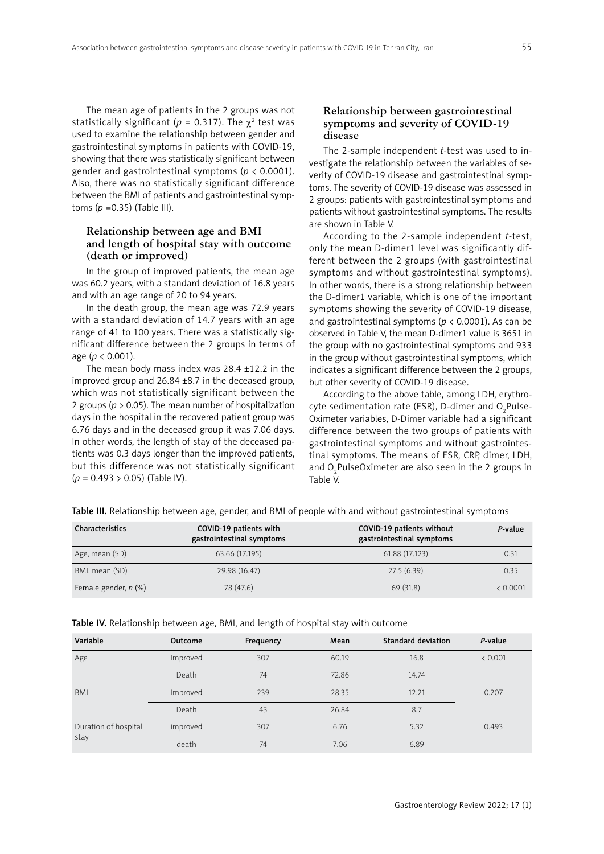The mean age of patients in the 2 groups was not statistically significant ( $p = 0.317$ ). The  $\chi^2$  test was used to examine the relationship between gender and gastrointestinal symptoms in patients with COVID-19, showing that there was statistically significant between gender and gastrointestinal symptoms (*p* < 0.0001). Also, there was no statistically significant difference between the BMI of patients and gastrointestinal symptoms (*p* =0.35) (Table III).

#### **Relationship between age and BMI and length of hospital stay with outcome (death or improved)**

In the group of improved patients, the mean age was 60.2 years, with a standard deviation of 16.8 years and with an age range of 20 to 94 years.

In the death group, the mean age was 72.9 years with a standard deviation of 14.7 years with an age range of 41 to 100 years. There was a statistically significant difference between the 2 groups in terms of age (*p* < 0.001).

The mean body mass index was  $28.4 \pm 12.2$  in the improved group and 26.84 ±8.7 in the deceased group, which was not statistically significant between the 2 groups (*p* > 0.05). The mean number of hospitalization days in the hospital in the recovered patient group was 6.76 days and in the deceased group it was 7.06 days. In other words, the length of stay of the deceased patients was 0.3 days longer than the improved patients, but this difference was not statistically significant (*p* = 0.493 > 0.05) (Table IV).

#### **Relationship between gastrointestinal symptoms and severity of COVID-19 disease**

The 2-sample independent *t*-test was used to investigate the relationship between the variables of severity of COVID-19 disease and gastrointestinal symptoms. The severity of COVID-19 disease was assessed in 2 groups: patients with gastrointestinal symptoms and patients without gastrointestinal symptoms. The results are shown in Table V.

According to the 2-sample independent *t*-test, only the mean D-dimer1 level was significantly different between the 2 groups (with gastrointestinal symptoms and without gastrointestinal symptoms). In other words, there is a strong relationship between the D-dimer1 variable, which is one of the important symptoms showing the severity of COVID-19 disease, and gastrointestinal symptoms (*p* < 0.0001). As can be observed in Table V, the mean D-dimer1 value is 3651 in the group with no gastrointestinal symptoms and 933 in the group without gastrointestinal symptoms, which indicates a significant difference between the 2 groups, but other severity of COVID-19 disease.

According to the above table, among LDH, erythrocyte sedimentation rate (ESR), D-dimer and  $O_2$ Pulse-Oximeter variables, D-Dimer variable had a significant difference between the two groups of patients with gastrointestinal symptoms and without gastrointestinal symptoms. The means of ESR, CRP, dimer, LDH, and  $O_2$ PulseOximeter are also seen in the 2 groups in Table V.

Table III. Relationship between age, gender, and BMI of people with and without gastrointestinal symptoms

| Characteristics        | COVID-19 patients with<br>gastrointestinal symptoms | COVID-19 patients without<br>gastrointestinal symptoms | P-value  |
|------------------------|-----------------------------------------------------|--------------------------------------------------------|----------|
| Age, mean (SD)         | 63.66 (17.195)                                      | 61.88 (17.123)                                         | 0.31     |
| BMI, mean (SD)         | 29.98 (16.47)                                       | 27.5(6.39)                                             | 0.35     |
| Female gender, $n$ (%) | 78 (47.6)                                           | 69 (31.8)                                              | < 0.0001 |

| Variable                     | <b>Outcome</b> | Frequency | Mean  | <b>Standard deviation</b> | P-value |  |
|------------------------------|----------------|-----------|-------|---------------------------|---------|--|
| Age                          | Improved       | 307       | 60.19 | 16.8                      | < 0.001 |  |
|                              | Death          | 74        | 72.86 | 14.74                     |         |  |
| <b>BMI</b>                   | Improved       | 239       | 28.35 | 12.21                     | 0.207   |  |
|                              | Death          | 43        | 26.84 | 8.7                       |         |  |
| Duration of hospital<br>stay | improved       | 307       | 6.76  | 5.32                      | 0.493   |  |
|                              | death          | 74        | 7.06  | 6.89                      |         |  |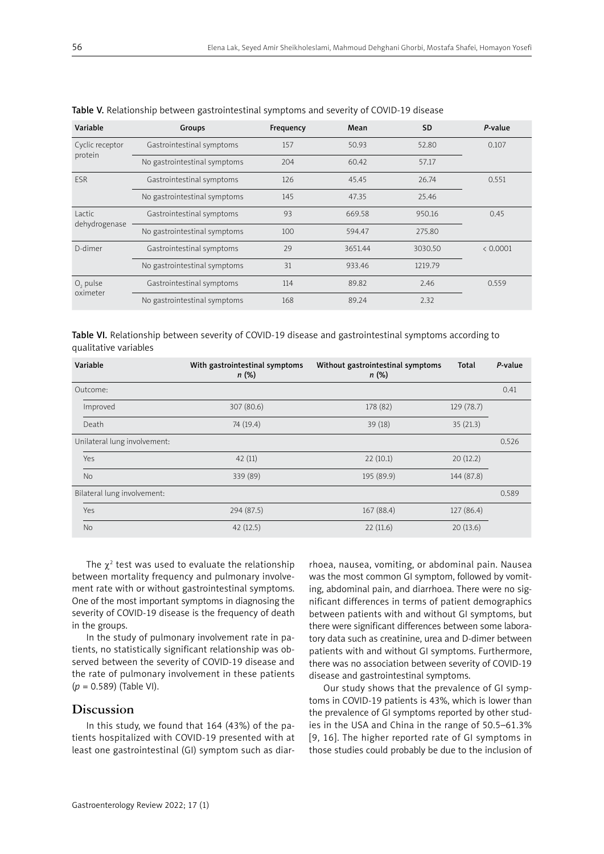| Variable                   | Groups                       | Frequency | Mean    | <b>SD</b> | P-value  |
|----------------------------|------------------------------|-----------|---------|-----------|----------|
| Cyclic receptor<br>protein | Gastrointestinal symptoms    | 157       | 50.93   | 52.80     | 0.107    |
|                            | No gastrointestinal symptoms | 204       | 60.42   | 57.17     |          |
| <b>FSR</b>                 | Gastrointestinal symptoms    | 126       | 45.45   | 26.74     | 0.551    |
|                            | No gastrointestinal symptoms | 145       | 47.35   | 25.46     |          |
| Lactic<br>dehydrogenase    | Gastrointestinal symptoms    | 93        | 669.58  | 950.16    | 0.45     |
|                            | No gastrointestinal symptoms | 100       | 594.47  | 275.80    |          |
| D-dimer                    | Gastrointestinal symptoms    | 29        | 3651.44 | 3030.50   | < 0.0001 |
|                            | No gastrointestinal symptoms | 31        | 933.46  | 1219.79   |          |
| $O2$ pulse<br>oximeter     | Gastrointestinal symptoms    | 114       | 89.82   | 2.46      | 0.559    |
|                            | No gastrointestinal symptoms | 168       | 89.24   | 2.32      |          |

Table VI. Relationship between severity of COVID-19 disease and gastrointestinal symptoms according to qualitative variables

| Variable                     | With gastrointestinal symptoms<br>n(%) | Without gastrointestinal symptoms<br>n(%) | Total      | P-value |
|------------------------------|----------------------------------------|-------------------------------------------|------------|---------|
| Outcome:                     |                                        |                                           |            | 0.41    |
| Improved                     | 307 (80.6)                             | 178 (82)                                  | 129 (78.7) |         |
| Death                        | 74 (19.4)                              | 39 (18)                                   | 35(21.3)   |         |
| Unilateral lung involvement: |                                        |                                           |            | 0.526   |
| Yes                          | 42(11)                                 | 22(10.1)                                  | 20(12.2)   |         |
| <b>No</b>                    | 339 (89)                               | 195 (89.9)                                | 144 (87.8) |         |
| Bilateral lung involvement:  |                                        |                                           |            | 0.589   |
| Yes                          | 294 (87.5)                             | 167(88.4)                                 | 127 (86.4) |         |
| <b>No</b>                    | 42(12.5)                               | 22(11.6)                                  | 20(13.6)   |         |

The  $\chi^2$  test was used to evaluate the relationship between mortality frequency and pulmonary involvement rate with or without gastrointestinal symptoms. One of the most important symptoms in diagnosing the severity of COVID-19 disease is the frequency of death in the groups.

In the study of pulmonary involvement rate in patients, no statistically significant relationship was observed between the severity of COVID-19 disease and the rate of pulmonary involvement in these patients (*p* = 0.589) (Table VI).

## **Discussion**

In this study, we found that 164 (43%) of the patients hospitalized with COVID-19 presented with at least one gastrointestinal (GI) symptom such as diar-

rhoea, nausea, vomiting, or abdominal pain. Nausea was the most common GI symptom, followed by vomiting, abdominal pain, and diarrhoea. There were no significant differences in terms of patient demographics between patients with and without GI symptoms, but there were significant differences between some laboratory data such as creatinine, urea and D-dimer between patients with and without GI symptoms. Furthermore, there was no association between severity of COVID-19 disease and gastrointestinal symptoms.

Our study shows that the prevalence of GI symptoms in COVID-19 patients is 43%, which is lower than the prevalence of GI symptoms reported by other studies in the USA and China in the range of 50.5–61.3% [9, 16]. The higher reported rate of GI symptoms in those studies could probably be due to the inclusion of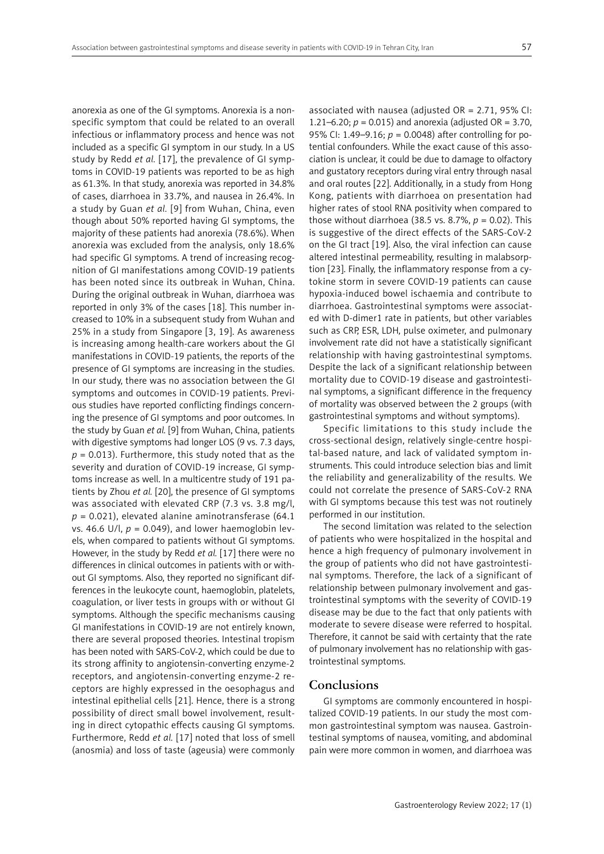anorexia as one of the GI symptoms. Anorexia is a nonspecific symptom that could be related to an overall infectious or inflammatory process and hence was not included as a specific GI symptom in our study. In a US study by Redd *et al.* [17], the prevalence of GI symptoms in COVID-19 patients was reported to be as high as 61.3%. In that study, anorexia was reported in 34.8% of cases, diarrhoea in 33.7%, and nausea in 26.4%. In a study by Guan *et al.* [9] from Wuhan, China, even though about 50% reported having GI symptoms, the majority of these patients had anorexia (78.6%). When anorexia was excluded from the analysis, only 18.6% had specific GI symptoms. A trend of increasing recognition of GI manifestations among COVID-19 patients has been noted since its outbreak in Wuhan, China. During the original outbreak in Wuhan, diarrhoea was reported in only 3% of the cases [18]. This number increased to 10% in a subsequent study from Wuhan and 25% in a study from Singapore [3, 19]. As awareness is increasing among health-care workers about the GI manifestations in COVID-19 patients, the reports of the presence of GI symptoms are increasing in the studies. In our study, there was no association between the GI symptoms and outcomes in COVID-19 patients. Previous studies have reported conflicting findings concerning the presence of GI symptoms and poor outcomes. In the study by Guan *et al.* [9] from Wuhan, China, patients with digestive symptoms had longer LOS (9 vs. 7.3 days,  $p = 0.013$ ). Furthermore, this study noted that as the severity and duration of COVID-19 increase, GI symptoms increase as well. In a multicentre study of 191 patients by Zhou *et al.* [20], the presence of GI symptoms was associated with elevated CRP (7.3 vs. 3.8 mg/l,  $p = 0.021$ ), elevated alanine aminotransferase (64.1) vs. 46.6 U/l,  $p = 0.049$ ), and lower haemoglobin levels, when compared to patients without GI symptoms. However, in the study by Redd *et al.* [17] there were no differences in clinical outcomes in patients with or without GI symptoms. Also, they reported no significant differences in the leukocyte count, haemoglobin, platelets, coagulation, or liver tests in groups with or without GI symptoms. Although the specific mechanisms causing GI manifestations in COVID-19 are not entirely known, there are several proposed theories. Intestinal tropism has been noted with SARS-CoV-2, which could be due to its strong affinity to angiotensin-converting enzyme-2 receptors, and angiotensin-converting enzyme-2 receptors are highly expressed in the oesophagus and intestinal epithelial cells [21]. Hence, there is a strong possibility of direct small bowel involvement, resulting in direct cytopathic effects causing GI symptoms. Furthermore, Redd *et al.* [17] noted that loss of smell (anosmia) and loss of taste (ageusia) were commonly

associated with nausea (adjusted  $OR = 2.71$ , 95% CI: 1.21–6.20; *p* = 0.015) and anorexia (adjusted OR = 3.70, 95% CI: 1.49–9.16; *p* = 0.0048) after controlling for potential confounders. While the exact cause of this association is unclear, it could be due to damage to olfactory and gustatory receptors during viral entry through nasal and oral routes [22]. Additionally, in a study from Hong Kong, patients with diarrhoea on presentation had higher rates of stool RNA positivity when compared to those without diarrhoea (38.5 vs. 8.7%, *p* = 0.02). This is suggestive of the direct effects of the SARS-CoV-2 on the GI tract [19]. Also, the viral infection can cause altered intestinal permeability, resulting in malabsorption [23]. Finally, the inflammatory response from a cytokine storm in severe COVID-19 patients can cause hypoxia-induced bowel ischaemia and contribute to diarrhoea. Gastrointestinal symptoms were associated with D-dimer1 rate in patients, but other variables such as CRP, ESR, LDH, pulse oximeter, and pulmonary involvement rate did not have a statistically significant relationship with having gastrointestinal symptoms. Despite the lack of a significant relationship between mortality due to COVID-19 disease and gastrointestinal symptoms, a significant difference in the frequency of mortality was observed between the 2 groups (with gastrointestinal symptoms and without symptoms).

Specific limitations to this study include the cross-sectional design, relatively single-centre hospital-based nature, and lack of validated symptom instruments. This could introduce selection bias and limit the reliability and generalizability of the results. We could not correlate the presence of SARS-CoV-2 RNA with GI symptoms because this test was not routinely performed in our institution.

The second limitation was related to the selection of patients who were hospitalized in the hospital and hence a high frequency of pulmonary involvement in the group of patients who did not have gastrointestinal symptoms. Therefore, the lack of a significant of relationship between pulmonary involvement and gastrointestinal symptoms with the severity of COVID-19 disease may be due to the fact that only patients with moderate to severe disease were referred to hospital. Therefore, it cannot be said with certainty that the rate of pulmonary involvement has no relationship with gastrointestinal symptoms.

#### **Conclusions**

GI symptoms are commonly encountered in hospitalized COVID-19 patients. In our study the most common gastrointestinal symptom was nausea. Gastrointestinal symptoms of nausea, vomiting, and abdominal pain were more common in women, and diarrhoea was